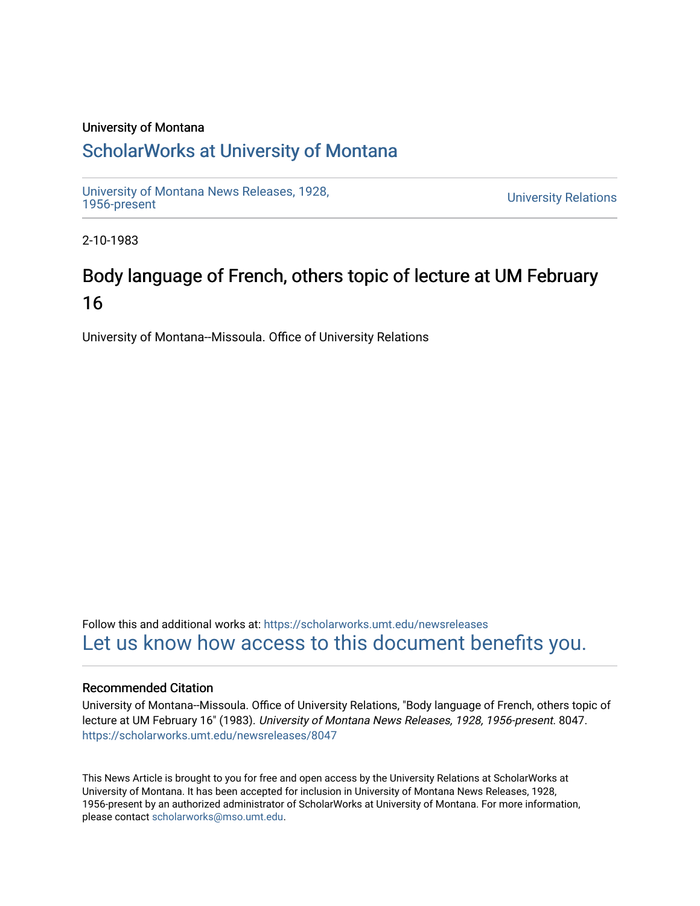### University of Montana

## [ScholarWorks at University of Montana](https://scholarworks.umt.edu/)

[University of Montana News Releases, 1928,](https://scholarworks.umt.edu/newsreleases) 

**University Relations** 

2-10-1983

# Body language of French, others topic of lecture at UM February 16

University of Montana--Missoula. Office of University Relations

Follow this and additional works at: [https://scholarworks.umt.edu/newsreleases](https://scholarworks.umt.edu/newsreleases?utm_source=scholarworks.umt.edu%2Fnewsreleases%2F8047&utm_medium=PDF&utm_campaign=PDFCoverPages) [Let us know how access to this document benefits you.](https://goo.gl/forms/s2rGfXOLzz71qgsB2) 

#### Recommended Citation

University of Montana--Missoula. Office of University Relations, "Body language of French, others topic of lecture at UM February 16" (1983). University of Montana News Releases, 1928, 1956-present. 8047. [https://scholarworks.umt.edu/newsreleases/8047](https://scholarworks.umt.edu/newsreleases/8047?utm_source=scholarworks.umt.edu%2Fnewsreleases%2F8047&utm_medium=PDF&utm_campaign=PDFCoverPages) 

This News Article is brought to you for free and open access by the University Relations at ScholarWorks at University of Montana. It has been accepted for inclusion in University of Montana News Releases, 1928, 1956-present by an authorized administrator of ScholarWorks at University of Montana. For more information, please contact [scholarworks@mso.umt.edu.](mailto:scholarworks@mso.umt.edu)